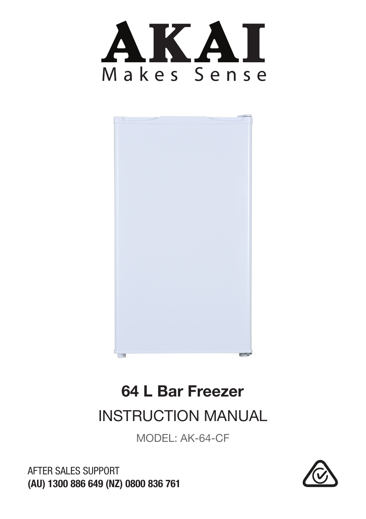



# 64 L Bar Freezer

INSTRUCTION MANUAL

MODEL: AK-64-CF



AFTER SALES SUPPORT (AU) 1300 886 649 (NZ) 0800 836 761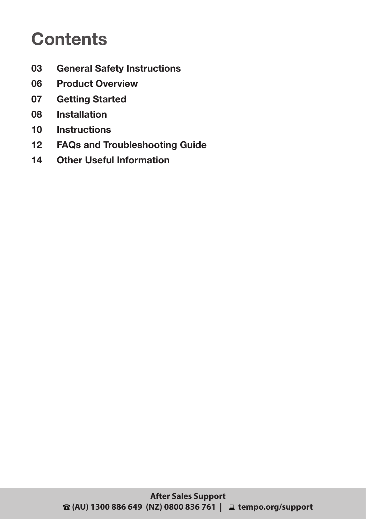### **Contents**

- **03 General Safety Instructions**
- **06 Product Overview**
- **07 Getting Started**
- **08 Installation**
- **10 Instructions**
- **12 FAQs and Troubleshooting Guide**
- **14 Other Useful Information**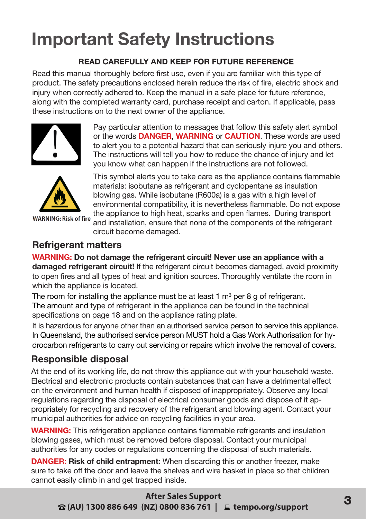### **Important Safety Instructions**

#### **READ CAREFULLY AND KEEP FOR FUTURE REFERENCE**

Read this manual thoroughly before first use, even if you are familiar with this type of product. The safety precautions enclosed herein reduce the risk of fire, electric shock and injury when correctly adhered to. Keep the manual in a safe place for future reference, along with the completed warranty card, purchase receipt and carton. If applicable, pass these instructions on to the next owner of the appliance.



Pay particular attention to messages that follow this safety alert symbol or the words **DANGER**, **WARNING** or **CAUTION**. These words are used to alert you to a potential hazard that can seriously injure you and others. The instructions will tell you how to reduce the chance of injury and let you know what can happen if the instructions are not followed.



**WARNING: Risk of fire** 

This symbol alerts you to take care as the appliance contains flammable materials: isobutane as refrigerant and cyclopentane as insulation blowing gas. While isobutane (R600a) is a gas with a high level of environmental compatibility, it is nevertheless flammable. Do not expose the appliance to high heat, sparks and open flames. During transport and installation, ensure that none of the components of the refrigerant circuit become damaged.

#### **Refrigerant matters**

**WARNING: Do not damage the refrigerant circuit! Never use an appliance with a damaged refrigerant circuit!** If the refrigerant circuit becomes damaged, avoid proximity to open fires and all types of heat and ignition sources. Thoroughly ventilate the room in which the appliance is located.

The room for installing the appliance must be at least 1  $m<sup>3</sup>$  per 8 g of refrigerant. The amount and type of refrigerant in the appliance can be found in the technical specifications on page 18 and on the appliance rating plate.

It is hazardous for anyone other than an authorised service person to service this appliance. In Queensland, the authorised service person MUST hold a Gas Work Authorisation for hydrocarbon refrigerants to carry out servicing or repairs which involve the removal of covers.

#### **Responsible disposal**

At the end of its working life, do not throw this appliance out with your household waste. Electrical and electronic products contain substances that can have a detrimental effect on the environment and human health if disposed of inappropriately. Observe any local regulations regarding the disposal of electrical consumer goods and dispose of it appropriately for recycling and recovery of the refrigerant and blowing agent. Contact your municipal authorities for advice on recycling facilities in your area.

**WARNING:** This refrigeration appliance contains flammable refrigerants and insulation blowing gases, which must be removed before disposal. Contact your municipal authorities for any codes or regulations concerning the disposal of such materials.

**DANGER: Risk of child entrapment:** When discarding this or another freezer, make sure to take off the door and leave the shelves and wire basket in place so that children cannot easily climb in and get trapped inside.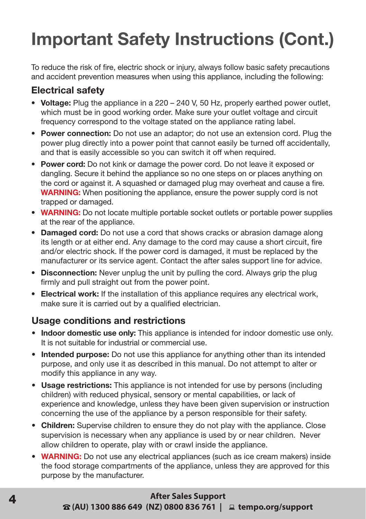### **Important Safety Instructions (Cont.)**

To reduce the risk of fire, electric shock or injury, always follow basic safety precautions and accident prevention measures when using this appliance, including the following:

#### **Electrical safety**

- **Voltage:** Plug the appliance in a 220 240 V, 50 Hz, properly earthed power outlet, which must be in good working order. Make sure your outlet voltage and circuit frequency correspond to the voltage stated on the appliance rating label.
- **• Power connection:** Do not use an adaptor; do not use an extension cord. Plug the power plug directly into a power point that cannot easily be turned off accidentally, and that is easily accessible so you can switch it off when required.
- **• Power cord:** Do not kink or damage the power cord. Do not leave it exposed or dangling. Secure it behind the appliance so no one steps on or places anything on the cord or against it. A squashed or damaged plug may overheat and cause a fire. **WARNING:** When positioning the appliance, ensure the power supply cord is not trapped or damaged.
- **WARNING:** Do not locate multiple portable socket outlets or portable power supplies at the rear of the appliance.
- **• Damaged cord:** Do not use a cord that shows cracks or abrasion damage along its length or at either end. Any damage to the cord may cause a short circuit, fire and/or electric shock. If the power cord is damaged, it must be replaced by the manufacturer or its service agent. Contact the after sales support line for advice.
- **• Disconnection:** Never unplug the unit by pulling the cord. Always grip the plug firmly and pull straight out from the power point.
- **• Electrical work:** If the installation of this appliance requires any electrical work, make sure it is carried out by a qualified electrician.

#### **Usage conditions and restrictions**

- **• Indoor domestic use only:** This appliance is intended for indoor domestic use only. It is not suitable for industrial or commercial use.
- **• Intended purpose:** Do not use this appliance for anything other than its intended purpose, and only use it as described in this manual. Do not attempt to alter or modify this appliance in any way.
- **• Usage restrictions:** This appliance is not intended for use by persons (including children) with reduced physical, sensory or mental capabilities, or lack of experience and knowledge, unless they have been given supervision or instruction concerning the use of the appliance by a person responsible for their safety.
- **• Children:** Supervise children to ensure they do not play with the appliance. Close supervision is necessary when any appliance is used by or near children. Never allow children to operate, play with or crawl inside the appliance.
- **• WARNING:** Do not use any electrical appliances (such as ice cream makers) inside the food storage compartments of the appliance, unless they are approved for this purpose by the manufacturer.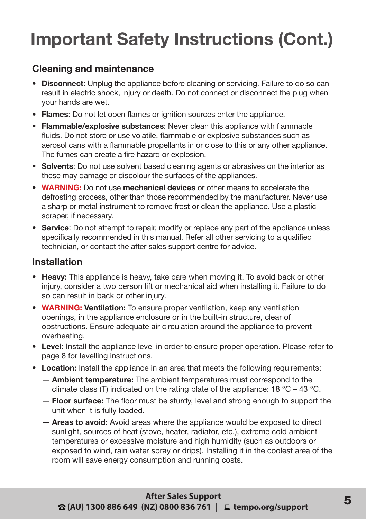### **Important Safety Instructions (Cont.)**

#### **Cleaning and maintenance**

- **• Disconnect**: Unplug the appliance before cleaning or servicing. Failure to do so can result in electric shock, injury or death. Do not connect or disconnect the plug when your hands are wet.
- **• Flames**: Do not let open flames or ignition sources enter the appliance.
- **• Flammable/explosive substances**: Never clean this appliance with flammable fluids. Do not store or use volatile, flammable or explosive substances such as aerosol cans with a flammable propellants in or close to this or any other appliance. The fumes can create a fire hazard or explosion.
- **• Solvents**: Do not use solvent based cleaning agents or abrasives on the interior as these may damage or discolour the surfaces of the appliances.
- **• WARNING:** Do not use **mechanical devices** or other means to accelerate the defrosting process, other than those recommended by the manufacturer. Never use a sharp or metal instrument to remove frost or clean the appliance. Use a plastic scraper, if necessary.
- **• Service**: Do not attempt to repair, modify or replace any part of the appliance unless specifically recommended in this manual. Refer all other servicing to a qualified technician, or contact the after sales support centre for advice.

#### **Installation**

- **• Heavy:** This appliance is heavy, take care when moving it. To avoid back or other injury, consider a two person lift or mechanical aid when installing it. Failure to do so can result in back or other injury.
- **• WARNING: Ventilation:** To ensure proper ventilation, keep any ventilation openings, in the appliance enclosure or in the built-in structure, clear of obstructions. Ensure adequate air circulation around the appliance to prevent overheating.
- **• Level:** Install the appliance level in order to ensure proper operation. Please refer to page 8 for levelling instructions.
- **• Location:** Install the appliance in an area that meets the following requirements:
	- **Ambient temperature:** The ambient temperatures must correspond to the climate class (T) indicated on the rating plate of the appliance: 18 °C – 43 °C.
	- **Floor surface:** The floor must be sturdy, level and strong enough to support the unit when it is fully loaded.
	- **Areas to avoid:** Avoid areas where the appliance would be exposed to direct sunlight, sources of heat (stove, heater, radiator, etc.), extreme cold ambient temperatures or excessive moisture and high humidity (such as outdoors or exposed to wind, rain water spray or drips). Installing it in the coolest area of the room will save energy consumption and running costs.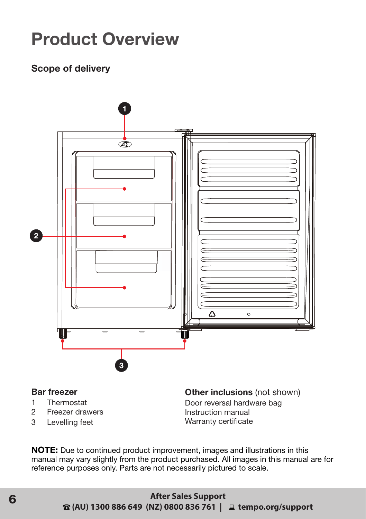### **Product Overview**

#### **Scope of delivery**



#### **Bar freezer**

- 1 Thermostat<br>2 Freezer dray
- 2 Freezer drawers
- 3 Levelling feet

**Other inclusions** (not shown) Door reversal hardware bag Instruction manual Warranty certificate

**NOTE:** Due to continued product improvement, images and illustrations in this manual may vary slightly from the product purchased. All images in this manual are for reference purposes only. Parts are not necessarily pictured to scale.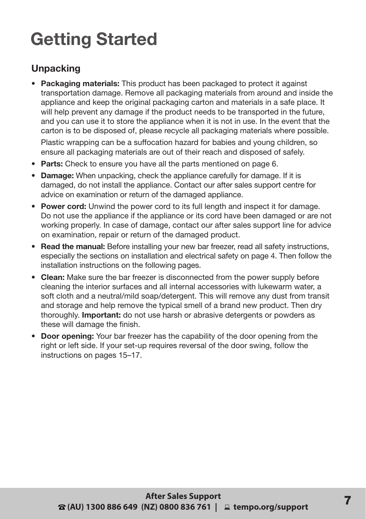### **Getting Started**

#### **Unpacking**

- **• Packaging materials:** This product has been packaged to protect it against transportation damage. Remove all packaging materials from around and inside the appliance and keep the original packaging carton and materials in a safe place. It will help prevent any damage if the product needs to be transported in the future, and you can use it to store the appliance when it is not in use. In the event that the carton is to be disposed of, please recycle all packaging materials where possible. Plastic wrapping can be a suffocation hazard for babies and young children, so ensure all packaging materials are out of their reach and disposed of safely.
- **• Parts:** Check to ensure you have all the parts mentioned on page 6.
- **• Damage:** When unpacking, check the appliance carefully for damage. If it is damaged, do not install the appliance. Contact our after sales support centre for advice on examination or return of the damaged appliance.
- **• Power cord:** Unwind the power cord to its full length and inspect it for damage. Do not use the appliance if the appliance or its cord have been damaged or are not working properly. In case of damage, contact our after sales support line for advice on examination, repair or return of the damaged product.
- **• Read the manual:** Before installing your new bar freezer, read all safety instructions, especially the sections on installation and electrical safety on page 4. Then follow the installation instructions on the following pages.
- **• Clean:** Make sure the bar freezer is disconnected from the power supply before cleaning the interior surfaces and all internal accessories with lukewarm water, a soft cloth and a neutral/mild soap/detergent. This will remove any dust from transit and storage and help remove the typical smell of a brand new product. Then dry thoroughly. **Important:** do not use harsh or abrasive detergents or powders as these will damage the finish.
- **• Door opening:** Your bar freezer has the capability of the door opening from the right or left side. If your set-up requires reversal of the door swing, follow the instructions on pages 15–17.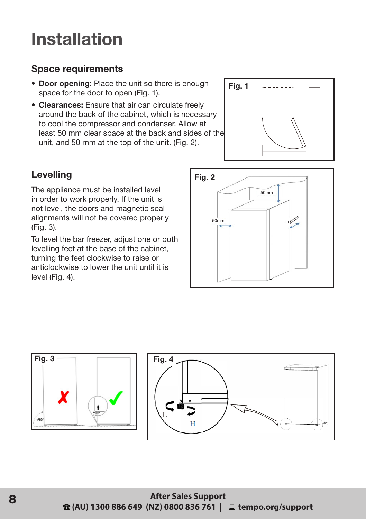### **Installation**

#### **Space requirements**

- **• Door opening:** Place the unit so there is enough space for the door to open (Fig. 1).
- **• Clearances:** Ensure that air can circulate freely around the back of the cabinet, which is necessary to cool the compressor and condenser. Allow at least 50 mm clear space at the back and sides of the unit, and 50 mm at the top of the unit. (Fig. 2).



#### **Levelling**

The appliance must be installed level in order to work properly. If the unit is not level, the doors and magnetic seal alignments will not be covered properly (Fig. 3).

To level the bar freezer, adjust one or both levelling feet at the base of the cabinet, turning the feet clockwise to raise or anticlockwise to lower the unit until it is level (Fig. 4).



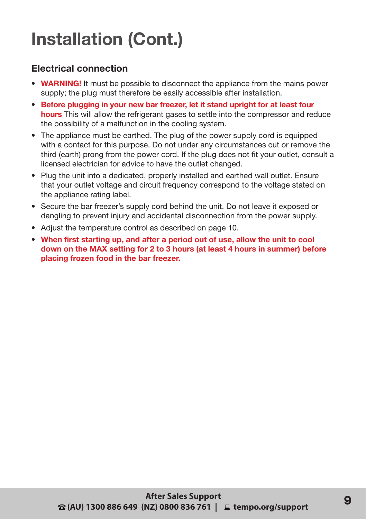# **Installation (Cont.)**

#### **Electrical connection**

- **• WARNING!** It must be possible to disconnect the appliance from the mains power supply; the plug must therefore be easily accessible after installation.
- **• Before plugging in your new bar freezer, let it stand upright for at least four hours** This will allow the refrigerant gases to settle into the compressor and reduce the possibility of a malfunction in the cooling system.
- The appliance must be earthed. The plug of the power supply cord is equipped with a contact for this purpose. Do not under any circumstances cut or remove the third (earth) prong from the power cord. If the plug does not fit your outlet, consult a licensed electrician for advice to have the outlet changed.
- Plug the unit into a dedicated, properly installed and earthed wall outlet. Ensure that your outlet voltage and circuit frequency correspond to the voltage stated on the appliance rating label.
- Secure the bar freezer's supply cord behind the unit. Do not leave it exposed or dangling to prevent injury and accidental disconnection from the power supply.
- Adjust the temperature control as described on page 10.
- **• When first starting up, and after a period out of use, allow the unit to cool down on the MAX setting for 2 to 3 hours (at least 4 hours in summer) before placing frozen food in the bar freezer.**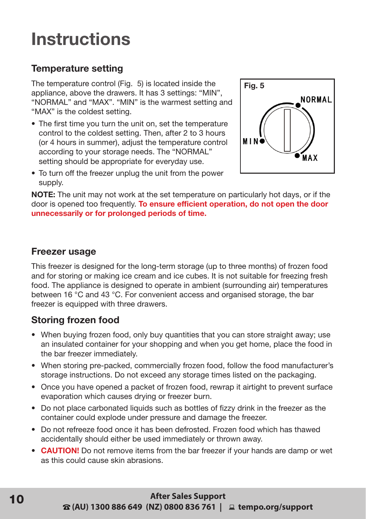### **Instructions**

#### **Temperature setting**

The temperature control (Fig. 5) is located inside the appliance, above the drawers. It has 3 settings: "MIN", "NORMAL" and "MAX". "MIN" is the warmest setting and "MAX" is the coldest setting.

• The first time you turn the unit on, set the temperature control to the coldest setting. Then, after 2 to 3 hours (or 4 hours in summer), adjust the temperature control according to your storage needs. The "NORMAL" setting should be appropriate for everyday use.



• To turn off the freezer unplug the unit from the power supply.

**NOTE:** The unit may not work at the set temperature on particularly hot days, or if the door is opened too frequently. **To ensure efficient operation, do not open the door unnecessarily or for prolonged periods of time.** 

#### **Freezer usage**

This freezer is designed for the long-term storage (up to three months) of frozen food and for storing or making ice cream and ice cubes. It is not suitable for freezing fresh food. The appliance is designed to operate in ambient (surrounding air) temperatures between 16 °C and 43 °C. For convenient access and organised storage, the bar freezer is equipped with three drawers.

#### **Storing frozen food**

- When buying frozen food, only buy quantities that you can store straight away; use an insulated container for your shopping and when you get home, place the food in the bar freezer immediately.
- When storing pre-packed, commercially frozen food, follow the food manufacturer's storage instructions. Do not exceed any storage times listed on the packaging.
- Once you have opened a packet of frozen food, rewrap it airtight to prevent surface evaporation which causes drying or freezer burn.
- Do not place carbonated liquids such as bottles of fizzy drink in the freezer as the container could explode under pressure and damage the freezer.
- Do not refreeze food once it has been defrosted. Frozen food which has thawed accidentally should either be used immediately or thrown away.
- **• CAUTION!** Do not remove items from the bar freezer if your hands are damp or wet as this could cause skin abrasions.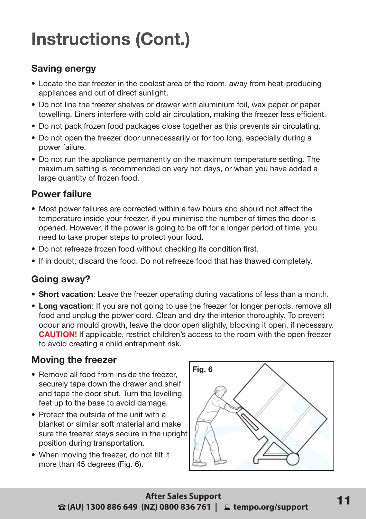# **Instructions (Cont.)**

#### **Saving energy**

- Locate the bar freezer in the coolest area of the room, away from heat-producing appliances and out of direct sunlight.
- Do not line the freezer shelves or drawer with aluminium foil, wax paper or paper towelling. Liners interfere with cold air circulation, making the freezer less efficient.
- Do not pack frozen food packages close together as this prevents air circulating.
- Do not open the freezer door unnecessarily or for too long, especially during a power failure.
- Do not run the appliance permanently on the maximum temperature setting. The maximum setting is recommended on very hot days, or when you have added a large quantity of frozen food.

#### **Power failure**

- Most power failures are corrected within a few hours and should not affect the temperature inside your freezer, if you minimise the number of times the door is opened. However, if the power is going to be off for a longer period of time, you need to take proper steps to protect your food.
- Do not refreeze frozen food without checking its condition first.
- If in doubt, discard the food. Do not refreeze food that has thawed completely.

#### **Going away?**

- **• Short vacation**: Leave the freezer operating during vacations of less than a month.
- **• Long vacation**: If you are not going to use the freezer for longer periods, remove all food and unplug the power cord. Clean and dry the interior thoroughly. To prevent odour and mould growth, leave the door open slightly, blocking it open, if necessary. **CAUTION!** If applicable, restrict children's access to the room with the open freezer to avoid creating a child entrapment risk.

#### **Moving the freezer**

- Remove all food from inside the freezer securely tape down the drawer and shelf and tape the door shut. Turn the levelling feet up to the base to avoid damage.
- Protect the outside of the unit with a blanket or similar soft material and make sure the freezer stays secure in the upright position during transportation.
- When moving the freezer, do not tilt it more than 45 degrees (Fig. 6).

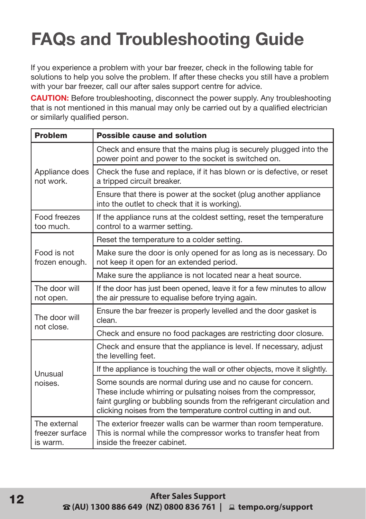# **FAQs and Troubleshooting Guide**

If you experience a problem with your bar freezer, check in the following table for solutions to help you solve the problem. If after these checks you still have a problem with your bar freezer, call our after sales support centre for advice.

**CAUTION:** Before troubleshooting, disconnect the power supply. Any troubleshooting that is not mentioned in this manual may only be carried out by a qualified electrician or similarly qualified person.

| <b>Problem</b>                              | <b>Possible cause and solution</b>                                                                                                                                                                                                                                           |
|---------------------------------------------|------------------------------------------------------------------------------------------------------------------------------------------------------------------------------------------------------------------------------------------------------------------------------|
| Appliance does<br>not work.                 | Check and ensure that the mains plug is securely plugged into the<br>power point and power to the socket is switched on.                                                                                                                                                     |
|                                             | Check the fuse and replace, if it has blown or is defective, or reset<br>a tripped circuit breaker.                                                                                                                                                                          |
|                                             | Ensure that there is power at the socket (plug another appliance<br>into the outlet to check that it is working).                                                                                                                                                            |
| Food freezes<br>too much.                   | If the appliance runs at the coldest setting, reset the temperature<br>control to a warmer setting.                                                                                                                                                                          |
| Food is not<br>frozen enough.               | Reset the temperature to a colder setting.                                                                                                                                                                                                                                   |
|                                             | Make sure the door is only opened for as long as is necessary. Do<br>not keep it open for an extended period.                                                                                                                                                                |
|                                             | Make sure the appliance is not located near a heat source.                                                                                                                                                                                                                   |
| The door will<br>not open.                  | If the door has just been opened, leave it for a few minutes to allow<br>the air pressure to equalise before trying again.                                                                                                                                                   |
| The door will<br>not close.                 | Ensure the bar freezer is properly levelled and the door gasket is<br>clean.                                                                                                                                                                                                 |
|                                             | Check and ensure no food packages are restricting door closure.                                                                                                                                                                                                              |
| Unusual<br>noises.                          | Check and ensure that the appliance is level. If necessary, adjust<br>the levelling feet.                                                                                                                                                                                    |
|                                             | If the appliance is touching the wall or other objects, move it slightly.                                                                                                                                                                                                    |
|                                             | Some sounds are normal during use and no cause for concern.<br>These include whirring or pulsating noises from the compressor,<br>faint gurgling or bubbling sounds from the refrigerant circulation and<br>clicking noises from the temperature control cutting in and out. |
| The external<br>freezer surface<br>is warm. | The exterior freezer walls can be warmer than room temperature.<br>This is normal while the compressor works to transfer heat from<br>inside the freezer cabinet.                                                                                                            |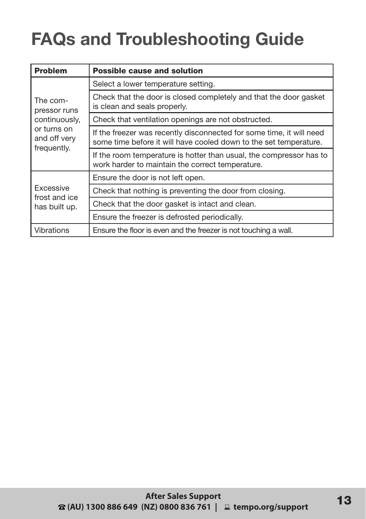# **FAQs and Troubleshooting Guide**

| <b>Problem</b>                                                                          | <b>Possible cause and solution</b>                                                                                                        |  |
|-----------------------------------------------------------------------------------------|-------------------------------------------------------------------------------------------------------------------------------------------|--|
| The com-<br>pressor runs<br>continuously,<br>or turns on<br>and off very<br>frequently. | Select a lower temperature setting.                                                                                                       |  |
|                                                                                         | Check that the door is closed completely and that the door gasket<br>is clean and seals properly.                                         |  |
|                                                                                         | Check that ventilation openings are not obstructed.                                                                                       |  |
|                                                                                         | If the freezer was recently disconnected for some time, it will need<br>some time before it will have cooled down to the set temperature. |  |
|                                                                                         | If the room temperature is hotter than usual, the compressor has to<br>work harder to maintain the correct temperature.                   |  |
| Excessive<br>frost and ice<br>has built up.                                             | Ensure the door is not left open.                                                                                                         |  |
|                                                                                         | Check that nothing is preventing the door from closing.                                                                                   |  |
|                                                                                         | Check that the door gasket is intact and clean.                                                                                           |  |
|                                                                                         | Ensure the freezer is defrosted periodically.                                                                                             |  |
| Vibrations                                                                              | Ensure the floor is even and the freezer is not touching a wall.                                                                          |  |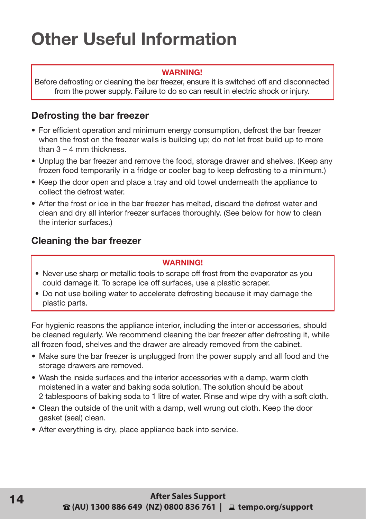### **Other Useful Information**

#### **WARNING!**

Before defrosting or cleaning the bar freezer, ensure it is switched off and disconnected from the power supply. Failure to do so can result in electric shock or injury.

#### **Defrosting the bar freezer**

- For efficient operation and minimum energy consumption, defrost the bar freezer when the frost on the freezer walls is building up; do not let frost build up to more than  $3 - 4$  mm thickness.
- Unplug the bar freezer and remove the food, storage drawer and shelves. (Keep any frozen food temporarily in a fridge or cooler bag to keep defrosting to a minimum.)
- Keep the door open and place a tray and old towel underneath the appliance to collect the defrost water.
- After the frost or ice in the bar freezer has melted, discard the defrost water and clean and dry all interior freezer surfaces thoroughly. (See below for how to clean the interior surfaces.)

#### **Cleaning the bar freezer**

#### **WARNING!**

- Never use sharp or metallic tools to scrape off frost from the evaporator as you could damage it. To scrape ice off surfaces, use a plastic scraper.
- Do not use boiling water to accelerate defrosting because it may damage the plastic parts.

For hygienic reasons the appliance interior, including the interior accessories, should be cleaned regularly. We recommend cleaning the bar freezer after defrosting it, while all frozen food, shelves and the drawer are already removed from the cabinet.

- Make sure the bar freezer is unplugged from the power supply and all food and the storage drawers are removed.
- Wash the inside surfaces and the interior accessories with a damp, warm cloth moistened in a water and baking soda solution. The solution should be about 2 tablespoons of baking soda to 1 litre of water. Rinse and wipe dry with a soft cloth.
- Clean the outside of the unit with a damp, well wrung out cloth. Keep the door gasket (seal) clean.
- After everything is dry, place appliance back into service.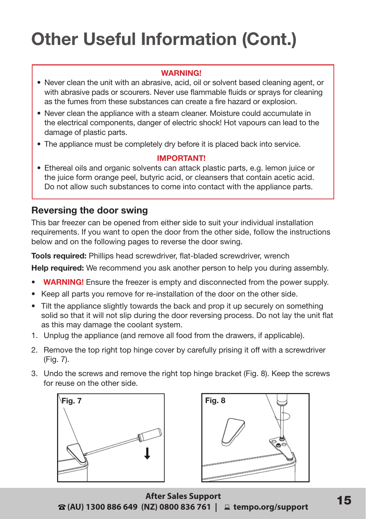#### **WARNING!**

- Never clean the unit with an abrasive, acid, oil or solvent based cleaning agent, or with abrasive pads or scourers. Never use flammable fluids or sprays for cleaning as the fumes from these substances can create a fire hazard or explosion.
- Never clean the appliance with a steam cleaner. Moisture could accumulate in the electrical components, danger of electric shock! Hot vapours can lead to the damage of plastic parts.
- The appliance must be completely dry before it is placed back into service.

#### **IMPORTANT!**

• Ethereal oils and organic solvents can attack plastic parts, e.g. lemon juice or the juice form orange peel, butyric acid, or cleansers that contain acetic acid. Do not allow such substances to come into contact with the appliance parts.

#### **Reversing the door swing**

This bar freezer can be opened from either side to suit your individual installation requirements. If you want to open the door from the other side, follow the instructions below and on the following pages to reverse the door swing.

**Tools required:** Phillips head screwdriver, flat-bladed screwdriver, wrench

**Help required:** We recommend you ask another person to help you during assembly.

- **• WARNING!** Ensure the freezer is empty and disconnected from the power supply.
- Keep all parts you remove for re-installation of the door on the other side.
- Tilt the appliance slightly towards the back and prop it up securely on something solid so that it will not slip during the door reversing process. Do not lay the unit flat as this may damage the coolant system.
- 1. Unplug the appliance (and remove all food from the drawers, if applicable).
- 2. Remove the top right top hinge cover by carefully prising it off with a screwdriver (Fig. 7).
- 3. Undo the screws and remove the right top hinge bracket (Fig. 8). Keep the screws for reuse on the other side.





**After Sales Support 15 Atter Sales Support<br>15 kempo.org/support** 15 a (AU) 1300 886 649 (NZ) 0800 836 761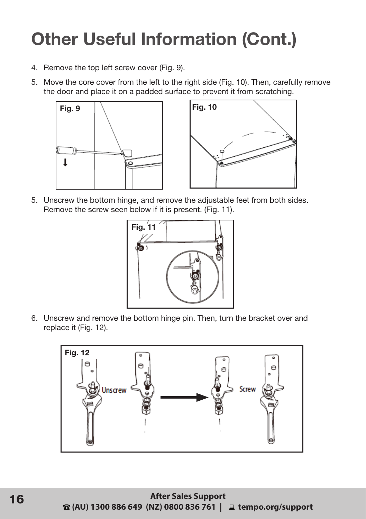- 4. Remove the top left screw cover (Fig. 9).
- 5. Move the core cover from the left to the right side (Fig. 10). Then, carefully remove the door and place it on a padded surface to prevent it from scratching.





5. Unscrew the bottom hinge, and remove the adjustable feet from both sides. Remove the screw seen below if it is present. (Fig. 11).



6. Unscrew and remove the bottom hinge pin. Then, turn the bracket over and replace it (Fig. 12).

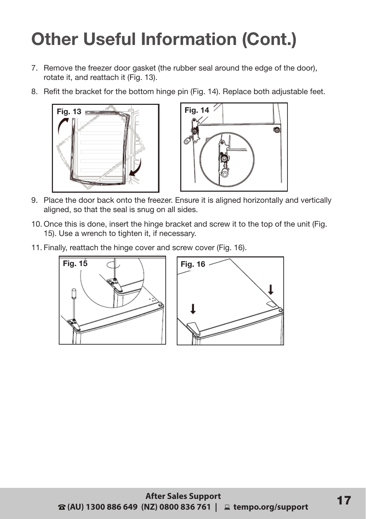- 7. Remove the freezer door gasket (the rubber seal around the edge of the door), rotate it, and reattach it (Fig. 13).
- 8. Refit the bracket for the bottom hinge pin (Fig. 14). Replace both adjustable feet.





- 9. Place the door back onto the freezer. Ensure it is aligned horizontally and vertically aligned, so that the seal is snug on all sides.
- 10. Once this is done, insert the hinge bracket and screw it to the top of the unit (Fig. 15). Use a wrench to tighten it, if necessary.
- 11. Finally, reattach the hinge cover and screw cover (Fig. 16).

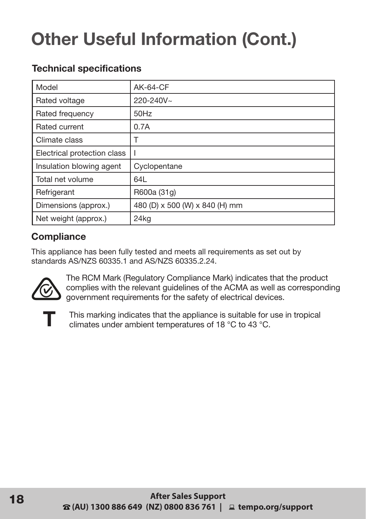| Model                       | <b>AK-64-CF</b>                |
|-----------------------------|--------------------------------|
| Rated voltage               | 220-240V~                      |
| Rated frequency             | 50Hz                           |
| Rated current               | 0.7A                           |
| Climate class               |                                |
| Electrical protection class |                                |
| Insulation blowing agent    | Cyclopentane                   |
| Total net volume            | 64L                            |
| Refrigerant                 | R600a (31g)                    |
| Dimensions (approx.)        | 480 (D) x 500 (W) x 840 (H) mm |
| Net weight (approx.)        | 24kg                           |

#### **Technical specifications**

#### **Compliance**

This appliance has been fully tested and meets all requirements as set out by standards AS/NZS 60335.1 and AS/NZS 60335.2.24.



The RCM Mark (Regulatory Compliance Mark) indicates that the product complies with the relevant guidelines of the ACMA as well as corresponding government requirements for the safety of electrical devices.



This marking indicates that the appliance is suitable for use in tropical climates under ambient temperatures of 18 °C to 43 °C.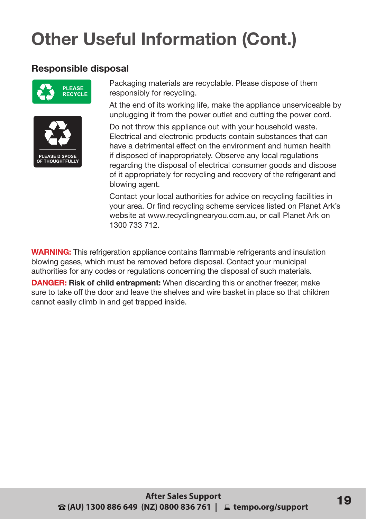#### **Responsible disposal**





Packaging materials are recyclable. Please dispose of them responsibly for recycling.

At the end of its working life, make the appliance unserviceable by unplugging it from the power outlet and cutting the power cord.

Do not throw this appliance out with your household waste. Electrical and electronic products contain substances that can have a detrimental effect on the environment and human health if disposed of inappropriately. Observe any local regulations regarding the disposal of electrical consumer goods and dispose of it appropriately for recycling and recovery of the refrigerant and blowing agent.

Contact your local authorities for advice on recycling facilities in your area. Or find recycling scheme services listed on Planet Ark's website at www.recyclingnearyou.com.au, or call Planet Ark on 1300 733 712.

**WARNING:** This refrigeration appliance contains flammable refrigerants and insulation blowing gases, which must be removed before disposal. Contact your municipal authorities for any codes or regulations concerning the disposal of such materials.

**DANGER: Risk of child entrapment:** When discarding this or another freezer, make sure to take off the door and leave the shelves and wire basket in place so that children cannot easily climb in and get trapped inside.